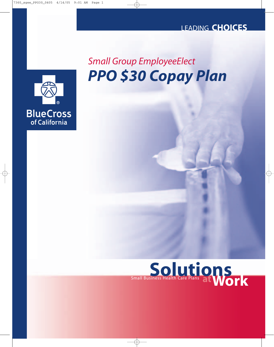## LEADING **CHOICES**

## *PPO \$30 Copay Plan Small Group EmployeeElect*



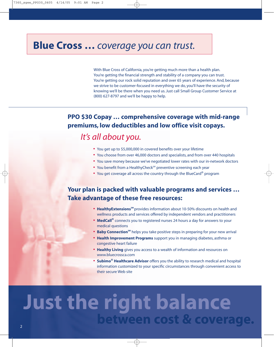## **Blue Cross …** *coverage you can trust.*

With Blue Cross of California, you're getting much more than a health plan. You're getting the financial strength and stability of a company you can trust. You're getting our rock solid reputation and over 65 years of experience. And, because we strive to be customer-focused in everything we do, you'll have the security of knowing we'll be there when you need us. Just call Small Group Customer Service at (800) 627-8797 and we'll be happy to help.

## **PPO \$30 Copay … comprehensive coverage with mid-range premiums, low deductibles and low office visit copays.**

## *It's all about you.*

- **•** You get up to \$5,000,000 in covered benefits over your lifetime
- **•** You choose from over 46,000 doctors and specialists, and from over 440 hospitals
- **•** You save money because we've negotiated lower rates with our in-network doctors
- You benefit from a HealthyCheck<sup>SM</sup> preventive screening each year
- **•** You get coverage all across the country through the BlueCard® program

## **Your plan is packed with valuable programs and services … Take advantage of these free resources:**

- **•** HealthyExtensions<sup>5M</sup> provides information about 10-50% discounts on health and wellness products and services offered by independent vendors and practitioners
- **• MedCall®** connects you to registered nurses 24 hours a day for answers to your medical questions
- Baby Connection<sup>sM</sup> helps you take positive steps in preparing for your new arrival
- **• Health Improvement Programs** support you in managing diabetes, asthma or congestive heart failure
- **• Healthy Living** gives you access to a wealth of information and resources on www.bluecrossca.com
- **• Subimo® Healthcare Advisor** offers you the ability to research medical and hospital information customized to your specific circumstances through convenient access to their secure Web site

# **Just the right balance between cost & coverage.**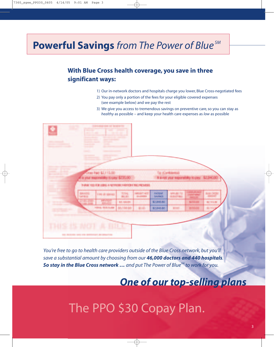## **Powerful Savings** *from The Power of Blue SM*

## **With Blue Cross health coverage, you save in three significant ways:**

- 1) Our in-network doctors and hospitals charge you lower, Blue Cross-negotiated fees
- 2) You pay only a portion of the fees for your eligible covered expenses (see example below) and we pay the rest
- 3) We give you access to tremendous savings on preventive care, so you can stay as *healthy* as possible – and keep your health care expenses as *low* as possible

|                                                     | <b>Contract Contract</b>                                                                                                                                                                                                                                                                                                                                                                                                                        | $\sim$                                                 |                      |                                  |                                       |                                     |                  |  |
|-----------------------------------------------------|-------------------------------------------------------------------------------------------------------------------------------------------------------------------------------------------------------------------------------------------------------------------------------------------------------------------------------------------------------------------------------------------------------------------------------------------------|--------------------------------------------------------|----------------------|----------------------------------|---------------------------------------|-------------------------------------|------------------|--|
|                                                     | <b>State of the Address</b>                                                                                                                                                                                                                                                                                                                                                                                                                     |                                                        |                      |                                  |                                       |                                     |                  |  |
|                                                     | <b>CONTRACTOR</b><br><b>Security Control</b>                                                                                                                                                                                                                                                                                                                                                                                                    | and the company of the company of<br><b>CONTRACTOR</b> |                      |                                  |                                       |                                     |                  |  |
| <b>SERVICE CONTROL</b><br><b>SERVICE CONTRACTOR</b> | <b>Group College Company</b><br><b>Search College</b>                                                                                                                                                                                                                                                                                                                                                                                           | <b>Service Advised Associate</b>                       |                      |                                  |                                       |                                     |                  |  |
| <b>Stationary and Constitution</b>                  | <b>South Commer</b>                                                                                                                                                                                                                                                                                                                                                                                                                             | <b>SEARCH AND COMPANY</b>                              |                      |                                  |                                       |                                     |                  |  |
|                                                     | <b>Committee</b>                                                                                                                                                                                                                                                                                                                                                                                                                                | <b>CONTRACTOR</b>                                      |                      |                                  |                                       |                                     |                  |  |
|                                                     | <b>SEPTEMBER</b>                                                                                                                                                                                                                                                                                                                                                                                                                                | <b>PERSONAL</b>                                        |                      |                                  |                                       |                                     |                  |  |
|                                                     | <b>Statement State</b><br><b>Statement College</b>                                                                                                                                                                                                                                                                                                                                                                                              |                                                        |                      |                                  |                                       |                                     |                  |  |
|                                                     |                                                                                                                                                                                                                                                                                                                                                                                                                                                 |                                                        |                      |                                  |                                       |                                     |                  |  |
| and the company's state of the company's            | $\frac{1}{2} \left( \frac{1}{2} \right)^2 + \frac{1}{2} \left( \frac{1}{2} \right)^2 + \frac{1}{2} \left( \frac{1}{2} \right)^2 + \frac{1}{2} \left( \frac{1}{2} \right)^2 + \frac{1}{2} \left( \frac{1}{2} \right)^2 + \frac{1}{2} \left( \frac{1}{2} \right)^2 + \frac{1}{2} \left( \frac{1}{2} \right)^2 + \frac{1}{2} \left( \frac{1}{2} \right)^2 + \frac{1}{2} \left( \frac{1}{2} \right)^2 + \frac{1}{2} \left( \frac{1}{2} \right)^2 +$ |                                                        |                      |                                  |                                       |                                     |                  |  |
| contacts, and the states                            |                                                                                                                                                                                                                                                                                                                                                                                                                                                 | Ocean Pake: \$2,335,00                                 |                      |                                  | Ta: (Ganhaima)                        |                                     |                  |  |
| <b>Second Control</b>                               |                                                                                                                                                                                                                                                                                                                                                                                                                                                 | a your responsibles to case \$235,00                   |                      |                                  | It is not your responsibility to prec |                                     |                  |  |
|                                                     |                                                                                                                                                                                                                                                                                                                                                                                                                                                 |                                                        |                      |                                  |                                       |                                     |                  |  |
|                                                     |                                                                                                                                                                                                                                                                                                                                                                                                                                                 | THREE YOU ROOM (ONLY) A RETROOK 2-HOTCH IT REPROVERS.  |                      |                                  |                                       |                                     |                  |  |
|                                                     |                                                                                                                                                                                                                                                                                                                                                                                                                                                 |                                                        |                      |                                  |                                       |                                     |                  |  |
|                                                     |                                                                                                                                                                                                                                                                                                                                                                                                                                                 |                                                        |                      |                                  |                                       |                                     |                  |  |
|                                                     |                                                                                                                                                                                                                                                                                                                                                                                                                                                 | <b>LINE OF GENERA</b>                                  |                      | <b>PATIENT</b><br><b>SAVINGS</b> | <b>PHONE THE</b><br><b>HIR ET BAY</b> |                                     | <b>BUE OKDRE</b> |  |
|                                                     | <b>SPRIN</b><br><b>Strip Street</b><br><b>SALE ASSOC</b>                                                                                                                                                                                                                                                                                                                                                                                        | <b>TEST</b>                                            | 鬸<br><b>KE NIVER</b> | \$2,840.80                       |                                       | <b>THE RUNSE</b><br><b>Scilling</b> |                  |  |
|                                                     |                                                                                                                                                                                                                                                                                                                                                                                                                                                 | 4.953.0149                                             | <b>ALL FAIR AVE</b>  | \$2,840.80                       | <b>MARK</b>                           | 813500                              |                  |  |
| ---                                                 |                                                                                                                                                                                                                                                                                                                                                                                                                                                 |                                                        |                      |                                  |                                       |                                     |                  |  |
|                                                     |                                                                                                                                                                                                                                                                                                                                                                                                                                                 |                                                        |                      |                                  |                                       |                                     |                  |  |
|                                                     |                                                                                                                                                                                                                                                                                                                                                                                                                                                 |                                                        |                      |                                  |                                       |                                     |                  |  |
|                                                     |                                                                                                                                                                                                                                                                                                                                                                                                                                                 |                                                        |                      |                                  |                                       |                                     |                  |  |
| THIS IS NOT                                         |                                                                                                                                                                                                                                                                                                                                                                                                                                                 | <b>A. BILE</b>                                         |                      |                                  |                                       |                                     |                  |  |

*You're free to go to health care providers outside of the Blue Cross network, but you'll save a substantial amount by choosing from our 46,000 doctors and 440 hospitals. So stay in the Blue Cross network … and put The Power of BlueSM to work for you.*

## *One of our top-selling plans*

The PPO \$30 Copay Plan.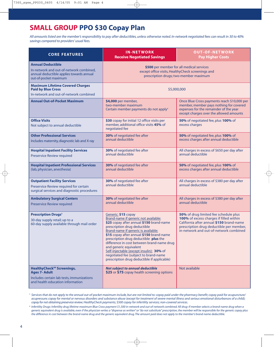## **SMALL GROUP PPO \$30 Copay Plan**

*All amounts listed are the member's responsibility to pay after deductibles, unless otherwise noted. In-network negotiated fees can result in 30 to 40% savings compared to providers' usual fees.*

| <b>CORE FEATURES</b>                                                                                                                                  | <b>IN-NETWORK</b><br><b>Receive Negotiated Savings</b>                                                                                                                                                                                                                                                                                                                                                                                                                          | <b>OUT-OF-NETWORK</b><br><b>Pay Higher Costs</b>                                                                                                                                                                   |  |  |  |
|-------------------------------------------------------------------------------------------------------------------------------------------------------|---------------------------------------------------------------------------------------------------------------------------------------------------------------------------------------------------------------------------------------------------------------------------------------------------------------------------------------------------------------------------------------------------------------------------------------------------------------------------------|--------------------------------------------------------------------------------------------------------------------------------------------------------------------------------------------------------------------|--|--|--|
| <b>Annual Deductible</b><br>In-network and out-of-network combined,<br>annual deductible applies towards annual<br>out-of-pocket maximum              | \$500 per member for all medical services<br>except office visits, HealthyCheck screenings and<br>prescription drugs; two-member maximum                                                                                                                                                                                                                                                                                                                                        |                                                                                                                                                                                                                    |  |  |  |
| <b>Maximum Lifetime Covered Charges</b><br><b>Paid by Blue Cross</b><br>In-network and out-of-network combined                                        | \$5,000,000                                                                                                                                                                                                                                                                                                                                                                                                                                                                     |                                                                                                                                                                                                                    |  |  |  |
| <b>Annual Out-of-Pocket Maximum</b>                                                                                                                   | \$4,000 per member,<br>two-member maximum<br>Certain member payments do not apply <sup>1</sup>                                                                                                                                                                                                                                                                                                                                                                                  | Once Blue Cross payments reach \$10,000 per<br>member, member pays nothing for covered<br>expenses for the remainder of the year<br>except charges over the allowed amounts                                        |  |  |  |
| <b>Office Visits</b><br>Not subject to annual deductible                                                                                              | \$30 copay for initial 12 office visits per<br>member, additional office visits 45% of<br>negotiated fee                                                                                                                                                                                                                                                                                                                                                                        | 50% of negotiated fee, plus 100% of<br>excess charges                                                                                                                                                              |  |  |  |
| <b>Other Professional Services</b><br>Includes maternity, diagnostic lab and X-ray                                                                    | 30% of negotiated fee after<br>annual deductible                                                                                                                                                                                                                                                                                                                                                                                                                                | 50% of negotiated fee, plus 100% of<br>excess charges after annual deductible                                                                                                                                      |  |  |  |
| <b>Hospital Inpatient Facility Services</b><br>Preservice Review required                                                                             | 30% of negotiated fee after<br>annual deductible                                                                                                                                                                                                                                                                                                                                                                                                                                | All charges in excess of \$650 per day after<br>annual deductible                                                                                                                                                  |  |  |  |
| <b>Hospital Inpatient Professional Services</b><br>(lab, physician, anesthesia)                                                                       | 30% of negotiated fee after<br>annual deductible                                                                                                                                                                                                                                                                                                                                                                                                                                | 50% of negotiated fee, plus 100% of<br>excess charges after annual deductible                                                                                                                                      |  |  |  |
| <b>Outpatient Facility Services</b><br>Preservice Review required for certain<br>surgical services and diagnostic procedures                          | <b>30%</b> of negotiated fee after<br>annual deductible                                                                                                                                                                                                                                                                                                                                                                                                                         | All charges in excess of \$380 per day after<br>annual deductible                                                                                                                                                  |  |  |  |
| <b>Ambulatory Surgical Centers</b><br>Preservice Review required                                                                                      | 30% of negotiated fee after<br>annual deductible                                                                                                                                                                                                                                                                                                                                                                                                                                | All charges in excess of \$380 per day after<br>annual deductible                                                                                                                                                  |  |  |  |
| <b>Prescription Drugs<sup>2</sup></b><br>30-day supply retail; up to a<br>60-day supply available through mail order                                  | Generic: \$15 copay<br>Brand-name if generic not available:<br>\$25 copay after annual \$150 brand-name<br>prescription drug deductible<br>Brand-name if generic is available:<br>\$15 copay after annual \$150 brand-name<br>prescription drug deductible plus the<br>difference in cost between brand-name drug<br>and generic equivalent<br>Self-injectable (except insulin): 30% of<br>negotiated fee (subject to brand-name<br>prescription drug deductible if applicable) | 50% of drug limited fee schedule plus<br>100% of excess charges if filled within<br>California after annual \$150 brand-name<br>prescription drug deductible per member,<br>in-network and out-of-network combined |  |  |  |
| <b>HealthyCheck<sup>SM</sup> Screenings,</b><br><b>Ages 7- Adult</b><br>Includes certain lab tests, immunizations<br>and health education information | <b>Not subject to annual deductible</b><br>\$25 or \$75 copay health screening options                                                                                                                                                                                                                                                                                                                                                                                          | Not available                                                                                                                                                                                                      |  |  |  |

**<sup>1</sup>** *Services that do not apply to the annual out-of-pocket maximum include, but are not limited to: copay paid under the pharmacy benefit; copay paid for acupuncture/ acupressure; copay for mental or nervous disorders and substance abuse (except for treatment of severe mental illness and serious emotional disturbances of a child); copay for not obtaining preservice review; HealthyCheck payments; \$500 copay for infertility services; non-covered services.*

**<sup>2</sup>** *Infertility Drugs: Infertility drug lifetime maximum Blue Cross payment \$1,500 in-network and out-of-network combined. All drug: if member selects a brand-name drug when a generic equivalent drug is available, even if the physician writes a "dispense as written" or "do not substitute" prescription, the member will be responsible for the generic copay plus the difference in cost between the brand-name drug and the generic equivalent drug. The amount paid does not apply to the member's brand-name deductible.*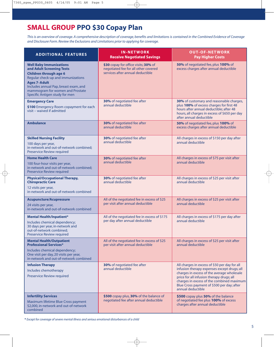## **SMALL GROUP PPO \$30 Copay Plan**

*This is an overview of coverage. A comprehensive description of coverage, benefits and limitations is contained in the Combined Evidence of Coverage and Disclosure Form. Review the Exclusions and Limitations prior to applying for coverage.*

| <b>ADDITIONAL FEATURES</b>                                                                                                                                                                                                                                               | <b>IN-NETWORK</b><br><b>Receive Negotiated Savings</b>                                                           | <b>OUT-OF-NETWORK</b><br><b>Pay Higher Costs</b>                                                                                                                                                                                                                                                        |
|--------------------------------------------------------------------------------------------------------------------------------------------------------------------------------------------------------------------------------------------------------------------------|------------------------------------------------------------------------------------------------------------------|---------------------------------------------------------------------------------------------------------------------------------------------------------------------------------------------------------------------------------------------------------------------------------------------------------|
| <b>Well Baby Immunizations</b><br>and Adult Screening Tests<br><b>Children through age 6</b><br>Regular check-up and immunizations<br><b>Ages 7-Adult</b><br>Includes annual Pap, breast exam, and<br>mammogram for women and Prostate<br>Specific Antigen study for men | \$30 copay for office visits; 30% of<br>negotiated fee for all other covered<br>services after annual deductible | 50% of negotiated fee, plus 100% of<br>excess charges after annual deductible                                                                                                                                                                                                                           |
| <b>Emergency Care</b><br>\$100 Emergency Room copayment for each<br>visit - waived if admitted                                                                                                                                                                           | 30% of negotiated fee after<br>annual deductible                                                                 | 30% of customary and reasonable charges,<br>plus 100% of excess charges for first 48<br>hours after annual deductible; after 48<br>hours, all charges in excess of \$650 per day<br>after annual deductible                                                                                             |
| <b>Ambulance</b>                                                                                                                                                                                                                                                         | 30% of negotiated fee after<br>annual deductible                                                                 | 50% of negotiated fee, plus 100% of<br>excess charges after annual deductible                                                                                                                                                                                                                           |
| <b>Skilled Nursing Facility</b><br>100 days per year,<br>in-network and out-of-network combined;<br>Preservice Review required                                                                                                                                           | 30% of negotiated fee after<br>annual deductible                                                                 | All charges in excess of \$150 per day after<br>annual deductible                                                                                                                                                                                                                                       |
| <b>Home Health Care</b><br>100 four-hour visits per year,<br>in-network and out-of-network combined;<br>Preservice Review required                                                                                                                                       | <b>30%</b> of negotiated fee after<br>annual deductible                                                          | All charges in excess of \$75 per visit after<br>annual deductible                                                                                                                                                                                                                                      |
| <b>Physical/Occupational Therapy,</b><br><b>Chiropractic Care</b><br>12 visits per year,<br>in-network and out-of-network combined                                                                                                                                       | 30% of negotiated fee after<br>annual deductible                                                                 | All charges in excess of \$25 per visit after<br>annual deductible                                                                                                                                                                                                                                      |
| <b>Acupuncture/Acupressure</b><br>24 visits per year,<br>in-network and out-of-network combined                                                                                                                                                                          | All of the negotiated fee in excess of \$25<br>per visit after annual deductible                                 | All charges in excess of \$25 per visit after<br>annual deductible                                                                                                                                                                                                                                      |
| <b>Mental Health/Inpatient*</b><br>Includes chemical dependency;<br>30 days per year, in-network and<br>out-of-network combined;<br>Preservice Review required                                                                                                           | All of the negotiated fee in excess of \$175<br>per day after annual deductible                                  | All charges in excess of \$175 per day after<br>annual deductible                                                                                                                                                                                                                                       |
| <b>Mental Health/Outpatient</b><br><b>Professional Services*</b><br>Includes chemical dependency;<br>One visit per day, 20 visits per year,<br>in-network and out-of-network combined                                                                                    | All of the negotiated fee in excess of \$25<br>per visit after annual deductible                                 | All charges in excess of \$25 per visit after<br>annual deductible                                                                                                                                                                                                                                      |
| <b>Infusion Therapy</b><br>Includes chemotherapy<br>Preservice Review required                                                                                                                                                                                           | 30% of negotiated fee after<br>annual deductible                                                                 | All charges in excess of \$50 per day for all<br>infusion therapy expenses except drugs; all<br>charges in excess of the average wholesale<br>price for all infusion therapy drugs; all<br>charges in excess of the combined maximum<br>Blue Cross payment of \$500 per day; after<br>annual deductible |
| <b>Infertility Services</b><br>Maximum lifetime Blue Cross payment<br>\$2,000, in-network and out-of-network<br>combined                                                                                                                                                 | \$500 copay plus, 30% of the balance of<br>negotiated fee after annual deductible                                | \$500 copay plus 50% of the balance<br>of negotiated fee plus 100% of excess<br>charges after annual deductible                                                                                                                                                                                         |

**\*** *Except for coverage of severe mental illness and serious emotional disturbances of a child*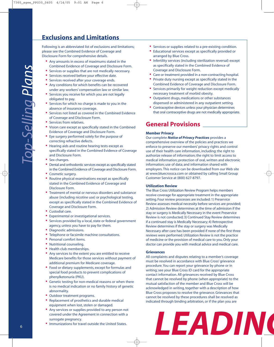#### **Exclusions and Limitations**

Following is an abbreviated list of exclusions and limitations; please see the Combined Evidence of Coverage and Disclosure Form for comprehensive details.

- **•** Any amounts in excess of maximums stated in the Combined Evidence of Coverage and Disclosure Form.
- **•** Services or supplies that are not medically necessary.
- **•** Services received before your effective date.
- **•** Services received after your coverage ends.
- **•** Any conditions for which benefits can be recovered under any workers' compensation law or similar law.
- **•** Services you receive for which you are not legally obligated to pay.
- **•** Services for which no charge is made to you in the absence of insurance coverage.
- **•** Services not listed as covered in the Combined Evidence of Coverage and Disclosure Form.
- **•** Services from relatives.
- **•** Vision care except as specifically stated in the Combined Evidence of Coverage and Disclosure Form.
- **•** Eye surgery performed solely for the purpose of correcting refractive defects.
- **•** Hearing aids and routine hearing tests except as specifically stated in the Combined Evidence of Coverage and Disclosure Form.
- **•** Sex changes.
- **•** Dental and orthodontic services except as specifically stated in the Combined Evidence of Coverage and Disclosure Form.
- **•** Cosmetic surgery.
- **•** Routine physical examinations except as specifically stated in the Combined Evidence of Coverage and Disclosure Form.
- **•** Treatment of mental or nervous disorders and substance abuse (including nicotine use) or psychological testing, except as specifically stated in the Combined Evidence of Coverage and Disclosure Form.
- **•** Custodial care.
- **•** Experimental or investigational services.
- **•** Services provided by a local, state or federal government agency, unless you have to pay for them.
- **•** Diagnostic admissions.
- **•** Telephone or facsimile machine consultations.
- **•** Personal comfort items.
- **•** Nutritional counseling.
- **•** Health club memberships.
- **•** Any services to the extent you are entitled to receive Medicare benefits for those services without payment of additional premium for Medicare coverage.
- **•** Food or dietary supplements, except for formulas and special food products to prevent complications of phenylketonuria (PKU).
- **•** Genetic testing for non-medical reasons or when there is no medical indication or no family history of genetic abnormality.
- **•** Outdoor treatment programs.
- **•** Replacement of prosthetics and durable medical equipment when lost, stolen or damaged.
- **•** Any services or supplies provided to any person not covered under the Agreement in connection with a surrogate pregnancy.
- **•** Immunizations for travel outside the United States.
- **•** Services or supplies related to a pre-existing condition.
- **•** Educational services except as specifically provided or arranged by Blue Cross.
- **•** Infertility services (including sterilization reversal) except as specifically stated in the Combined Evidence of Coverage and Disclosure Form.
- **•** Care or treatment provided in a non-contracting hospital.
- **•** Private duty nursing except as specifically stated in the Combined Evidence of Coverage and Disclosure Form.
- **•** Services primarily for weight reduction except medically necessary treatment of morbid obesity.
- **•** Outpatient drugs, medications or other substances dispensed or administered in any outpatient setting.
- **•** Contraceptive devices unless your physician determines that oral contraceptive drugs are not medically appropriate.

#### **General Provisions**

#### **Member Privacy**

Our complete *Notice of Privacy Practices* provides a comprehensive overview of the policies and practices we enforce to preserve our members' privacy rights and control use of their health care information, including: the right to authorize release of information; the right to limit access to medical information; protection of oral, written and electronic information; use of data; and information shared with employers. This notice can be downloaded from our Web site at www.bluecrossca.com or obtained by calling Small Group Customer Service at (800) 627-8797.

#### **Utilization Review**

The Blue Cross Utilization Review Program helps members receive coverage for appropriate treatment in the appropriate setting. Four review processes are included: 1) Preservice Review assesses medical necessity before services are provided; 2) Admission Review determines at the time of admission if the stay or surgery is Medically Necessary in the event Preservice Review is not conducted; 3) Continued Stay Review determines if a continued stay is Medically Necessary; 4) Retrospective Review determines if the stay or surgery was Medically Necessary after care has been provided if none of the first three reviews were performed. Utilization Review is not the practice of medicine or the provision of medical care to you. Only your doctor can provide you with medical advice and medical care.

#### **Grievances**

All complaints and disputes relating to a member's coverage must be resolved in accordance with Blue Cross' grievance procedure. You can report your grievance by phone or in writing; see your Blue Cross ID card for the appropriate contact information. All grievances received by Blue Cross that cannot be resolved by phone (when appropriate) to the mutual satisfaction of the member and Blue Cross will be acknowledged in writing, together with a description of how Blue Cross proposes to resolve the grievance. Grievances that cannot be resolved by these procedures shall be resolved as indicated through binding arbitration, or if the plan you are

# *LEADING Choices*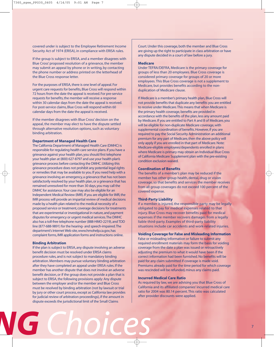covered under is subject to the Employee Retirement Income Security Act of 1974 (ERISA), in compliance with ERISA rules.

If the group is subject to ERISA, and a member disagrees with Blue Cross' proposed resolution of a grievance, the member may submit an appeal by phone or in writing, by contacting the phone number or address printed on the letterhead of the Blue Cross response letter.

For the purposes of ERISA, there is one level of appeal. For urgent care requests for benefits, Blue Cross will respond within 72 hours from the date the appeal is received. For pre-service requests for benefits, the member will receive a response within 30 calendar days from the date the appeal is received. For post-service claims, Blue Cross will respond within 60 calendar days from the date the appeal is received.

If the member disagrees with Blue Cross' decision on the appeal, the member may elect to have the dispute settled through alternative resolution options, such as voluntary binding arbitration.

#### **Department of Managed Health Care**

The California Department of Managed Health Care (DMHC) is responsible for regulating health care service plans. If you have a grievance against your health plan, you should first telephone your health plan at (800) 627-8797 and use your health plan's grievance process before contacting the DMHC. Utilizing this grievance procedure does not prohibit any potential legal rights or remedies that may be available to you. If you need help with a grievance involving an emergency, a grievance that has not been satisfactorily resolved by your health plan, or a grievance that has remained unresolved for more than 30 days, you may call the DMHC for assistance.Your case may also be eligible for an Independent Medical Review (IMR). If you are eligible for IMR, the IMR process will provide an impartial review of medical decisions made by a health plan related to the medical necessity of a proposed service or treatment, coverage decisions for treatments that are experimental or investigational in nature, and payment disputes for emergency or urgent medical services.The DMHC also has a toll-free telephone number (888-HMO-2219), and TDD line (877-688-9891) for the hearing- and speech-impaired.The department's Internet Web site, www.hmohelp.ca.gov, has complaint forms, IMR application forms and instructions online.

#### **Binding Arbitration**

If the plan is subject to ERISA, any dispute involving an adverse benefit decision must be resolved under ERISA claims procedure rules, and is not subject to mandatory binding arbitration. Members may pursue voluntary binding arbitration after they have completed an appeal under ERISA rules. If the member has another dispute that does not involve an adverse benefit decision, or if the group does not provide a plan that is subject to ERISA, the following provisions apply: Any dispute between the employer and/or the member and Blue Cross must be resolved by binding arbitration (not by lawsuit or trial by jury or other court process, except as California law provides for judicial review of arbitration proceedings), if the amount in dispute exceeds the jurisdictional limit of the Small Claims

*ING Choices*

Court. Under this coverage, both the member and Blue Cross are giving up the right to participate in class arbitration or have any dispute decided in a court of law before a jury.

#### **Medicare**

Under TEFRA/DEFRA, Medicare is the primary coverage for groups of less than 20 employees. Blue Cross coverage is considered primary coverage for groups of 20 or more employees. This Blue Cross coverage is not a supplement to Medicare, but provides benefits according to the nonduplication of Medicare clause.

If Medicare is a member's primary health plan, Blue Cross will not provide benefits that duplicate any benefits you are entitled to receive under Medicare.This means that when Medicare is the primary health coverage, benefits are provided in accordance with the benefits of the plan, less any amount paid by Medicare. If you are entitled to Part A and B of Medicare, you will be eligible for non-duplicate Medicare coverage, with supplemental coordination of benefits. However, if you are required to pay the Social Security Administration an additional premium for any part of Medicare, then the above policy will only apply if you are enrolled in that part of Medicare. Note: Medicare-eligible employees/dependents enrolled in plans where Medicare is primary may obtain an Individual Blue Cross of California Medicare Supplement plan with the pre-existing condition exclusion waived.

#### **Coordination of Benefits**

The benefits of a member's plan may be reduced if the member has other group health, dental, drug or vision coverage, so that benefits and services the member receives from all group coverages do not exceed 100 percent of the covered expense.

#### **Third-Party Liability**

If a member is injured, the responsible party may be legally obligated to pay for medical expenses related to that injury. Blue Cross may recover benefits paid for medical expenses if the member recovers damages from a legally liable third-party. Examples of third-party liability situations include car accidents and work-related injuries.

#### **Voiding Coverage for False and Misleading Information**

False or misleading information or failure to submit any required enrollment materials may form the basis for voiding coverage from the date a plan was issued or retroactively adjusting the premium to what it would have been if the correct information had been furnished. No benefits will be paid for any claim submitted if coverage is made void. Premiums already paid for the time period for which coverage was rescinded will be refunded, minus any claims paid.

#### **Incurred Medical Care Ratio**

As required by law, we are advising you that Blue Cross of California and its affiliated companies' incurred medical care ratio for 2004 was 80.14 percent. This ratio was calculated after provider discounts were applied.